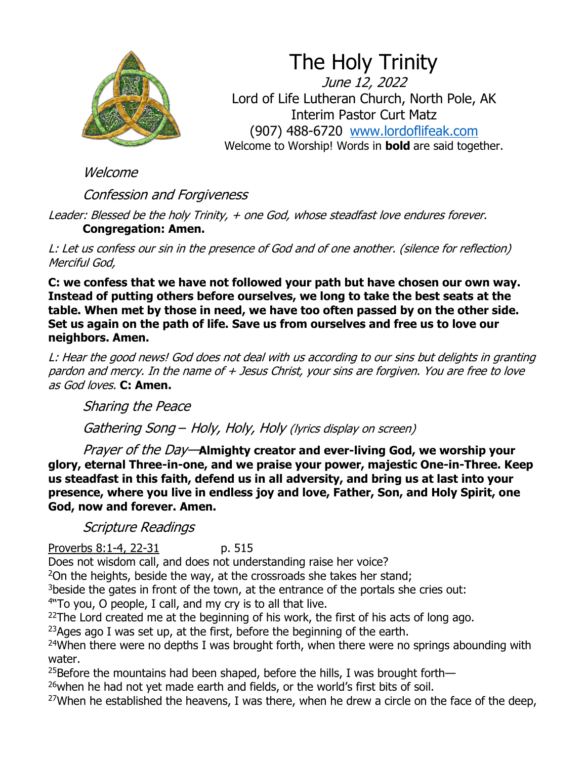

The Holy Trinity June 12, 2022 Lord of Life Lutheran Church, North Pole, AK Interim Pastor Curt Matz (907) 488-6720 [www.lordoflifeak.com](http://www.lordoflifeak.com/) Welcome to Worship! Words in **bold** are said together.

Welcome

Confession and Forgiveness

Leader: Blessed be the holy Trinity, + one God, whose steadfast love endures forever. **Congregation: Amen.**

L: Let us confess our sin in the presence of God and of one another. (silence for reflection) Merciful God,

**C: we confess that we have not followed your path but have chosen our own way. Instead of putting others before ourselves, we long to take the best seats at the table. When met by those in need, we have too often passed by on the other side. Set us again on the path of life. Save us from ourselves and free us to love our neighbors. Amen.**

L: Hear the good news! God does not deal with us according to our sins but delights in granting pardon and mercy. In the name of + Jesus Christ, your sins are forgiven. You are free to love as God loves. **C: Amen.**

Sharing the Peace

Gathering Song – Holy, Holy, Holy (lyrics display on screen)

Prayer of the Day—**Almighty creator and ever-living God, we worship your glory, eternal Three-in-one, and we praise your power, majestic One-in-Three. Keep us steadfast in this faith, defend us in all adversity, and bring us at last into your presence, where you live in endless joy and love, Father, Son, and Holy Spirit, one God, now and forever. Amen.**

Scripture Readings

Proverbs 8:1-4, 22-31 p. 515

Does not wisdom call, and does not understanding raise her voice?

<sup>2</sup>On the heights, beside the way, at the crossroads she takes her stand;

<sup>3</sup>beside the gates in front of the town, at the entrance of the portals she cries out:

4 "To you, O people, I call, and my cry is to all that live.

 $22$ The Lord created me at the beginning of his work, the first of his acts of long ago.

<sup>23</sup>Ages ago I was set up, at the first, before the beginning of the earth.

<sup>24</sup>When there were no depths I was brought forth, when there were no springs abounding with water.

<sup>25</sup>Before the mountains had been shaped, before the hills, I was brought forth—

<sup>26</sup>when he had not yet made earth and fields, or the world's first bits of soil.

<sup>27</sup>When he established the heavens, I was there, when he drew a circle on the face of the deep,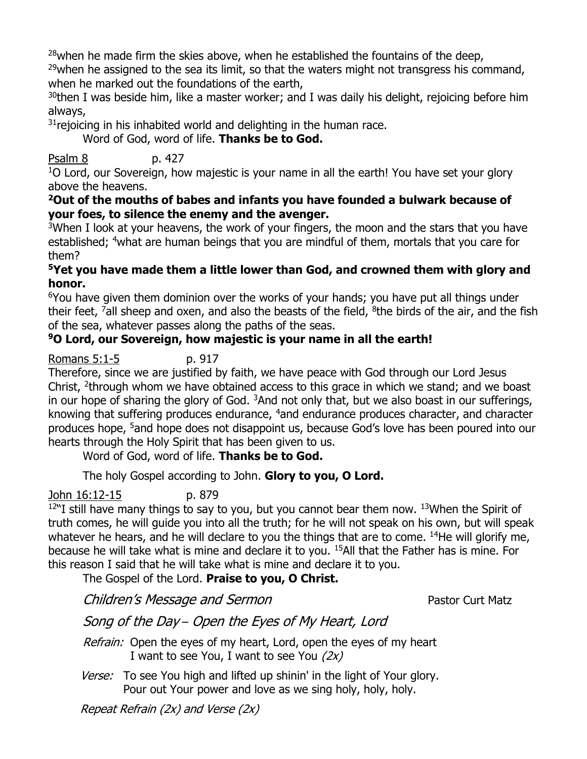$28$ when he made firm the skies above, when he established the fountains of the deep,

 $29$ when he assigned to the sea its limit, so that the waters might not transgress his command, when he marked out the foundations of the earth,

 $30$ then I was beside him, like a master worker; and I was daily his delight, rejoicing before him always,

 $31$  rejoicing in his inhabited world and delighting in the human race.

Word of God, word of life. **Thanks be to God.**

### Psalm 8 p. 427

 $10$  Lord, our Sovereign, how majestic is your name in all the earth! You have set your glory above the heavens.

#### **<sup>2</sup>Out of the mouths of babes and infants you have founded a bulwark because of your foes, to silence the enemy and the avenger.**

<sup>3</sup>When I look at your heavens, the work of your fingers, the moon and the stars that you have established; <sup>4</sup>what are human beings that you are mindful of them, mortals that you care for them?

#### **<sup>5</sup>Yet you have made them a little lower than God, and crowned them with glory and honor.**

<sup>6</sup>You have given them dominion over the works of your hands; you have put all things under their feet, <sup>7</sup>all sheep and oxen, and also the beasts of the field, <sup>8</sup>the birds of the air, and the fish of the sea, whatever passes along the paths of the seas.

### **<sup>9</sup>O Lord, our Sovereign, how majestic is your name in all the earth!**

Romans 5:1-5 p. 917

Therefore, since we are justified by faith, we have peace with God through our Lord Jesus Christ, <sup>2</sup>through whom we have obtained access to this grace in which we stand; and we boast in our hope of sharing the glory of God.  $3$ And not only that, but we also boast in our sufferings, knowing that suffering produces endurance, <sup>4</sup>and endurance produces character, and character produces hope, <sup>5</sup>and hope does not disappoint us, because God's love has been poured into our hearts through the Holy Spirit that has been given to us.

Word of God, word of life. **Thanks be to God.**

The holy Gospel according to John. **Glory to you, O Lord.**

John 16:12-15 p. 879

 $12$ "I still have many things to say to you, but you cannot bear them now.  $13$ When the Spirit of truth comes, he will guide you into all the truth; for he will not speak on his own, but will speak whatever he hears, and he will declare to you the things that are to come. <sup>14</sup>He will glorify me, because he will take what is mine and declare it to you. <sup>15</sup>All that the Father has is mine. For this reason I said that he will take what is mine and declare it to you.

### The Gospel of the Lord. **Praise to you, O Christ.**

Children's Message and Sermon extending the Pastor Curt Matz

Song of the Day – Open the Eyes of My Heart, Lord

Refrain: Open the eyes of my heart, Lord, open the eyes of my heart I want to see You, I want to see You  $(2x)$ 

Verse: To see You high and lifted up shinin' in the light of Your glory. Pour out Your power and love as we sing holy, holy, holy.

Repeat Refrain (2x) and Verse (2x)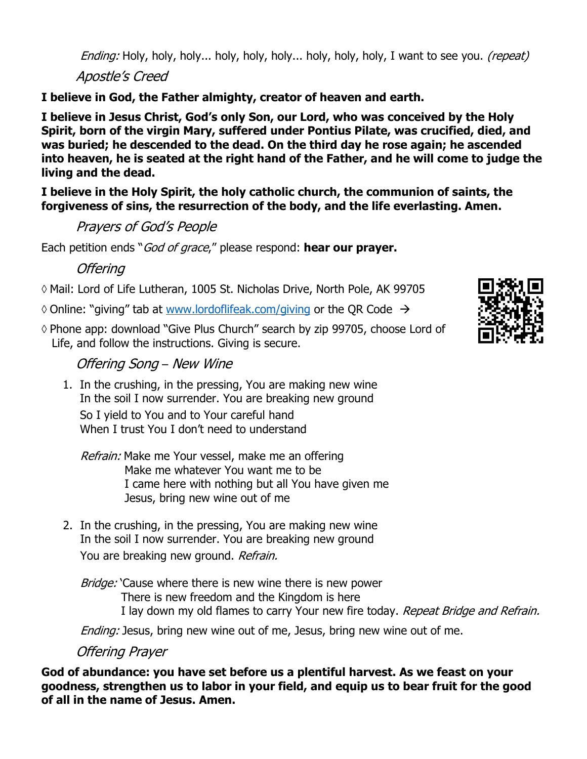Ending: Holy, holy, holy... holy, holy, holy... holy, holy, holy, I want to see you. *(repeat)* 

Apostle's Creed

**I believe in God, the Father almighty, creator of heaven and earth.** 

**I believe in Jesus Christ, God's only Son, our Lord, who was conceived by the Holy Spirit, born of the virgin Mary, suffered under Pontius Pilate, was crucified, died, and was buried; he descended to the dead. On the third day he rose again; he ascended into heaven, he is seated at the right hand of the Father, and he will come to judge the living and the dead.** 

**I believe in the Holy Spirit, the holy catholic church, the communion of saints, the forgiveness of sins, the resurrection of the body, and the life everlasting. Amen.**

Prayers of God's People

Each petition ends "God of grace," please respond: **hear our prayer.**

**Offering** 

Mail: Lord of Life Lutheran, 1005 St. Nicholas Drive, North Pole, AK 99705

 $\Diamond$  Online: "giving" tab at [www.lordoflifeak.com/](http://www.lordoflifeak.com/)giving or the QR Code  $\rightarrow$ 

◊ Phone app: download "Give Plus Church" search by zip 99705, choose Lord of Life, and follow the instructions. Giving is secure.

# Offering Song – New Wine

1. In the crushing, in the pressing, You are making new wine In the soil I now surrender. You are breaking new ground So I yield to You and to Your careful hand When I trust You I don't need to understand

Refrain: Make me Your vessel, make me an offering Make me whatever You want me to be I came here with nothing but all You have given me Jesus, bring new wine out of me

2. In the crushing, in the pressing, You are making new wine In the soil I now surrender. You are breaking new ground You are breaking new ground. Refrain.

Bridge: 'Cause where there is new wine there is new power There is new freedom and the Kingdom is here I lay down my old flames to carry Your new fire today. Repeat Bridge and Refrain.

Ending: Jesus, bring new wine out of me, Jesus, bring new wine out of me.

Offering Prayer

**God of abundance: you have set before us a plentiful harvest. As we feast on your goodness, strengthen us to labor in your field, and equip us to bear fruit for the good of all in the name of Jesus. Amen.**